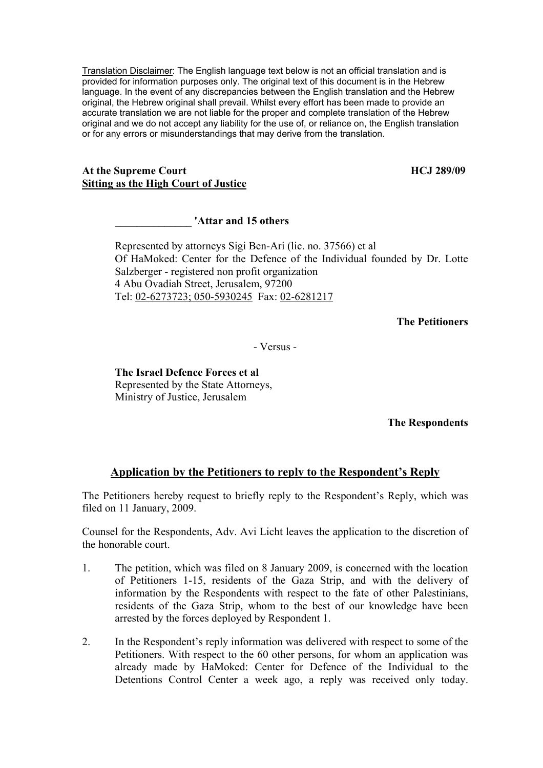Translation Disclaimer: The English language text below is not an official translation and is provided for information purposes only. The original text of this document is in the Hebrew language. In the event of any discrepancies between the English translation and the Hebrew original, the Hebrew original shall prevail. Whilst every effort has been made to provide an accurate translation we are not liable for the proper and complete translation of the Hebrew original and we do not accept any liability for the use of, or reliance on, the English translation or for any errors or misunderstandings that may derive from the translation.

## At the Supreme Court **HCJ** 289/09 **Sitting as the High Court of Justice**

**\_\_\_\_\_\_\_\_\_\_\_\_\_\_ 'Attar and 15 others** 

Represented by attorneys Sigi Ben-Ari (lic. no. 37566) et al Of HaMoked: Center for the Defence of the Individual founded by Dr. Lotte Salzberger - registered non profit organization 4 Abu Ovadiah Street, Jerusalem, 97200 Tel: 02-6273723; 050-5930245 Fax: 02-6281217

**The Petitioners** 

- Versus -

## **The Israel Defence Forces et al**  Represented by the State Attorneys, Ministry of Justice, Jerusalem

**The Respondents** 

## **Application by the Petitioners to reply to the Respondent's Reply**

The Petitioners hereby request to briefly reply to the Respondent's Reply, which was filed on 11 January, 2009.

Counsel for the Respondents, Adv. Avi Licht leaves the application to the discretion of the honorable court.

- 1. The petition, which was filed on 8 January 2009, is concerned with the location of Petitioners 1-15, residents of the Gaza Strip, and with the delivery of information by the Respondents with respect to the fate of other Palestinians, residents of the Gaza Strip, whom to the best of our knowledge have been arrested by the forces deployed by Respondent 1.
- 2. In the Respondent's reply information was delivered with respect to some of the Petitioners. With respect to the 60 other persons, for whom an application was already made by HaMoked: Center for Defence of the Individual to the Detentions Control Center a week ago, a reply was received only today.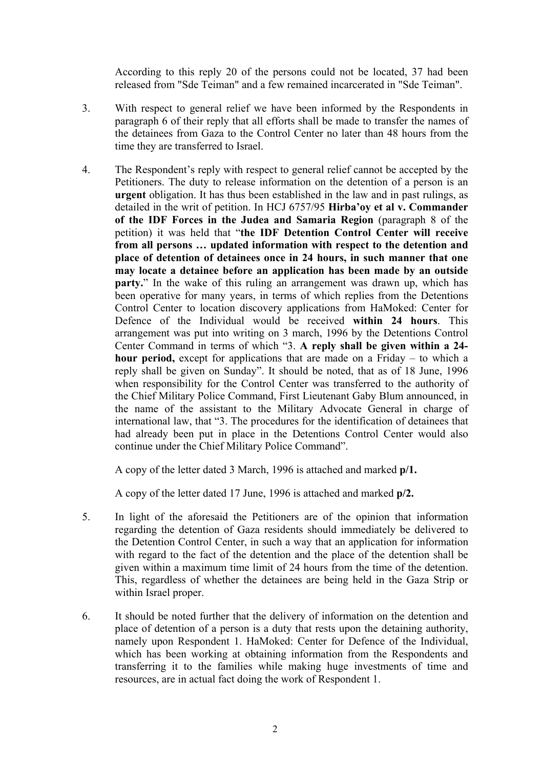According to this reply 20 of the persons could not be located, 37 had been released from "Sde Teiman" and a few remained incarcerated in "Sde Teiman".

- 3. With respect to general relief we have been informed by the Respondents in paragraph 6 of their reply that all efforts shall be made to transfer the names of the detainees from Gaza to the Control Center no later than 48 hours from the time they are transferred to Israel.
- 4. The Respondent's reply with respect to general relief cannot be accepted by the Petitioners. The duty to release information on the detention of a person is an **urgent** obligation. It has thus been established in the law and in past rulings, as detailed in the writ of petition. In HCJ 6757/95 **Hirba'oy et al v. Commander of the IDF Forces in the Judea and Samaria Region** (paragraph 8 of the petition) it was held that "**the IDF Detention Control Center will receive from all persons … updated information with respect to the detention and place of detention of detainees once in 24 hours, in such manner that one may locate a detainee before an application has been made by an outside party.**" In the wake of this ruling an arrangement was drawn up, which has been operative for many years, in terms of which replies from the Detentions Control Center to location discovery applications from HaMoked: Center for Defence of the Individual would be received **within 24 hours**. This arrangement was put into writing on 3 march, 1996 by the Detentions Control Center Command in terms of which "3. **A reply shall be given within a 24 hour period,** except for applications that are made on a Friday – to which a reply shall be given on Sunday". It should be noted, that as of 18 June, 1996 when responsibility for the Control Center was transferred to the authority of the Chief Military Police Command, First Lieutenant Gaby Blum announced, in the name of the assistant to the Military Advocate General in charge of international law, that "3. The procedures for the identification of detainees that had already been put in place in the Detentions Control Center would also continue under the Chief Military Police Command".

A copy of the letter dated 3 March, 1996 is attached and marked **p/1.**

A copy of the letter dated 17 June, 1996 is attached and marked **p/2.**

- 5. In light of the aforesaid the Petitioners are of the opinion that information regarding the detention of Gaza residents should immediately be delivered to the Detention Control Center, in such a way that an application for information with regard to the fact of the detention and the place of the detention shall be given within a maximum time limit of 24 hours from the time of the detention. This, regardless of whether the detainees are being held in the Gaza Strip or within Israel proper.
- 6. It should be noted further that the delivery of information on the detention and place of detention of a person is a duty that rests upon the detaining authority, namely upon Respondent 1. HaMoked: Center for Defence of the Individual, which has been working at obtaining information from the Respondents and transferring it to the families while making huge investments of time and resources, are in actual fact doing the work of Respondent 1.